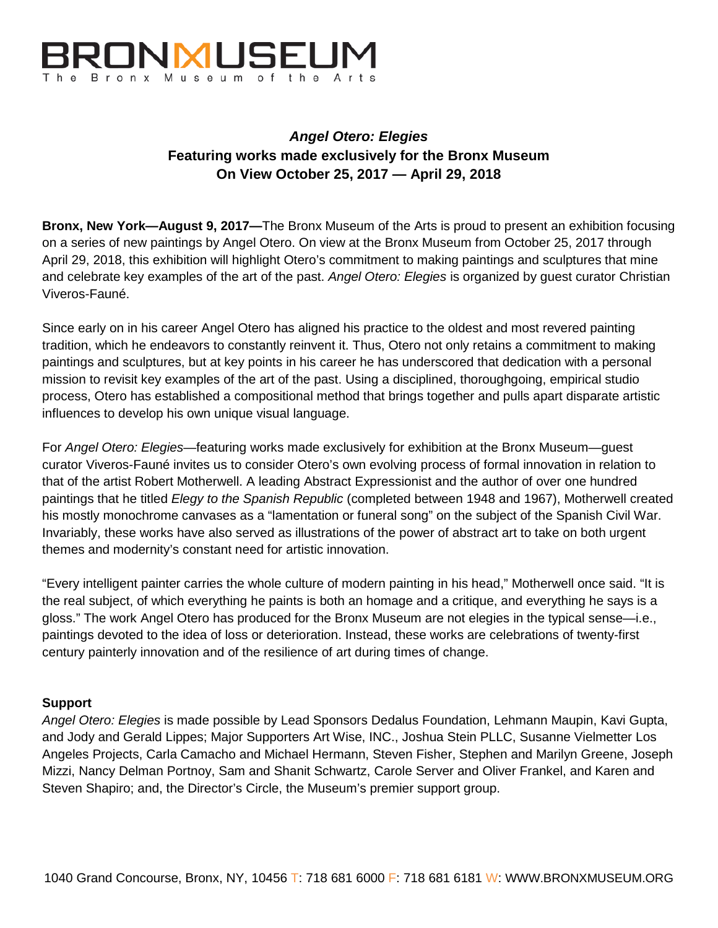

# *Angel Otero: Elegies* **Featuring works made exclusively for the Bronx Museum On View October 25, 2017 — April 29, 2018**

**Bronx, New York—August 9, 2017—**The Bronx Museum of the Arts is proud to present an exhibition focusing on a series of new paintings by Angel Otero. On view at the Bronx Museum from October 25, 2017 through April 29, 2018, this exhibition will highlight Otero's commitment to making paintings and sculptures that mine and celebrate key examples of the art of the past. *Angel Otero: Elegies* is organized by guest curator Christian Viveros-Fauné.

Since early on in his career Angel Otero has aligned his practice to the oldest and most revered painting tradition, which he endeavors to constantly reinvent it. Thus, Otero not only retains a commitment to making paintings and sculptures, but at key points in his career he has underscored that dedication with a personal mission to revisit key examples of the art of the past. Using a disciplined, thoroughgoing, empirical studio process, Otero has established a compositional method that brings together and pulls apart disparate artistic influences to develop his own unique visual language.

For *Angel Otero: Elegies*—featuring works made exclusively for exhibition at the Bronx Museum—guest curator Viveros-Fauné invites us to consider Otero's own evolving process of formal innovation in relation to that of the artist Robert Motherwell. A leading Abstract Expressionist and the author of over one hundred paintings that he titled *Elegy to the Spanish Republic* (completed between 1948 and 1967), Motherwell created his mostly monochrome canvases as a "lamentation or funeral song" on the subject of the Spanish Civil War. Invariably, these works have also served as illustrations of the power of abstract art to take on both urgent themes and modernity's constant need for artistic innovation.

"Every intelligent painter carries the whole culture of modern painting in his head," Motherwell once said. "It is the real subject, of which everything he paints is both an homage and a critique, and everything he says is a gloss." The work Angel Otero has produced for the Bronx Museum are not elegies in the typical sense—i.e., paintings devoted to the idea of loss or deterioration. Instead, these works are celebrations of twenty-first century painterly innovation and of the resilience of art during times of change.

## **Support**

*Angel Otero: Elegies* is made possible by Lead Sponsors Dedalus Foundation, Lehmann Maupin, Kavi Gupta, and Jody and Gerald Lippes; Major Supporters Art Wise, INC., Joshua Stein PLLC, Susanne Vielmetter Los Angeles Projects, Carla Camacho and Michael Hermann, Steven Fisher, Stephen and Marilyn Greene, Joseph Mizzi, Nancy Delman Portnoy, Sam and Shanit Schwartz, Carole Server and Oliver Frankel, and Karen and Steven Shapiro; and, the Director's Circle, the Museum's premier support group.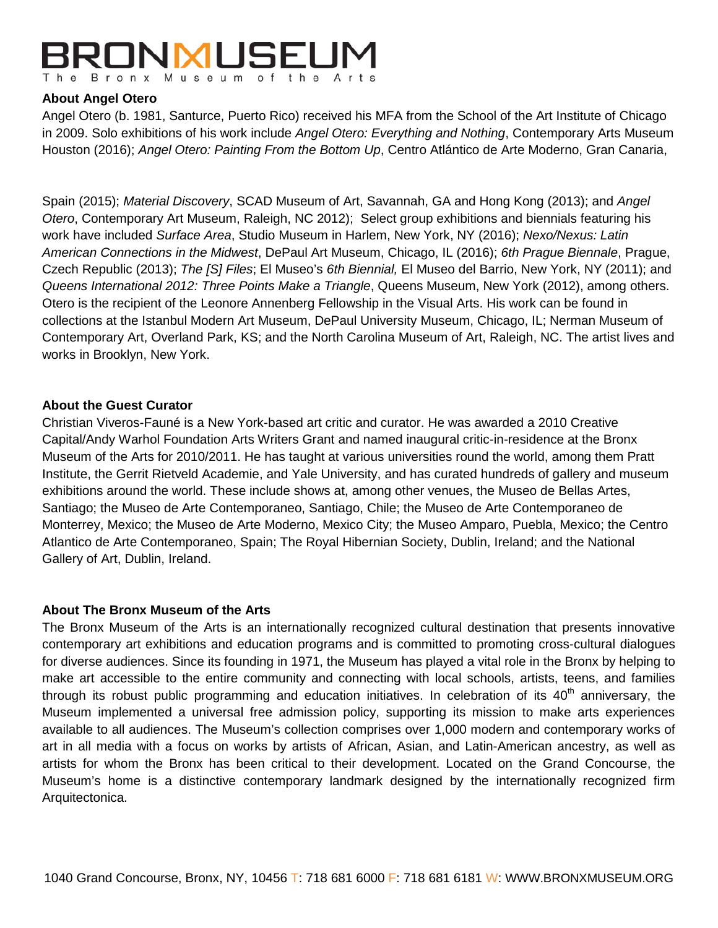# BRONMUSEUM The Bronx Museum of the Arts

#### **About Angel Otero**

Angel Otero (b. 1981, Santurce, Puerto Rico) received his MFA from the School of the Art Institute of Chicago in 2009. Solo exhibitions of his work include *Angel Otero: Everything and Nothing*, Contemporary Arts Museum Houston (2016); *Angel Otero: Painting From the Bottom Up*, Centro Atlántico de Arte Moderno, Gran Canaria,

Spain (2015); *Material Discovery*, SCAD Museum of Art, Savannah, GA and Hong Kong (2013); and *Angel Otero*, Contemporary Art Museum, Raleigh, NC 2012); Select group exhibitions and biennials featuring his work have included *Surface Area*, Studio Museum in Harlem, New York, NY (2016); *Nexo/Nexus: Latin American Connections in the Midwest*, DePaul Art Museum, Chicago, IL (2016); *6th Prague Biennale*, Prague, Czech Republic (2013); *The [S] Files*; El Museo's *6th Biennial,* El Museo del Barrio, New York, NY (2011); and *Queens International 2012: Three Points Make a Triangle*, Queens Museum, New York (2012), among others. Otero is the recipient of the Leonore Annenberg Fellowship in the Visual Arts. His work can be found in collections at the Istanbul Modern Art Museum, DePaul University Museum, Chicago, IL; Nerman Museum of Contemporary Art, Overland Park, KS; and the North Carolina Museum of Art, Raleigh, NC. The artist lives and works in Brooklyn, New York.

#### **About the Guest Curator**

Christian Viveros-Fauné is a New York-based art critic and curator. He was awarded a 2010 Creative Capital/Andy Warhol Foundation Arts Writers Grant and named inaugural critic-in-residence at the Bronx Museum of the Arts for 2010/2011. He has taught at various universities round the world, among them Pratt Institute, the Gerrit Rietveld Academie, and Yale University, and has curated hundreds of gallery and museum exhibitions around the world. These include shows at, among other venues, the Museo de Bellas Artes, Santiago; the Museo de Arte Contemporaneo, Santiago, Chile; the Museo de Arte Contemporaneo de Monterrey, Mexico; the Museo de Arte Moderno, Mexico City; the Museo Amparo, Puebla, Mexico; the Centro Atlantico de Arte Contemporaneo, Spain; The Royal Hibernian Society, Dublin, Ireland; and the National Gallery of Art, Dublin, Ireland.

## **About The Bronx Museum of the Arts**

The Bronx Museum of the Arts is an internationally recognized cultural destination that presents innovative contemporary art exhibitions and education programs and is committed to promoting cross-cultural dialogues for diverse audiences. Since its founding in 1971, the Museum has played a vital role in the Bronx by helping to make art accessible to the entire community and connecting with local schools, artists, teens, and families through its robust public programming and education initiatives. In celebration of its  $40<sup>th</sup>$  anniversary, the Museum implemented a universal free admission policy, supporting its mission to make arts experiences available to all audiences. The Museum's collection comprises over 1,000 modern and contemporary works of art in all media with a focus on works by artists of African, Asian, and Latin-American ancestry, as well as artists for whom the Bronx has been critical to their development. Located on the Grand Concourse, the Museum's home is a distinctive contemporary landmark designed by the internationally recognized firm Arquitectonica.